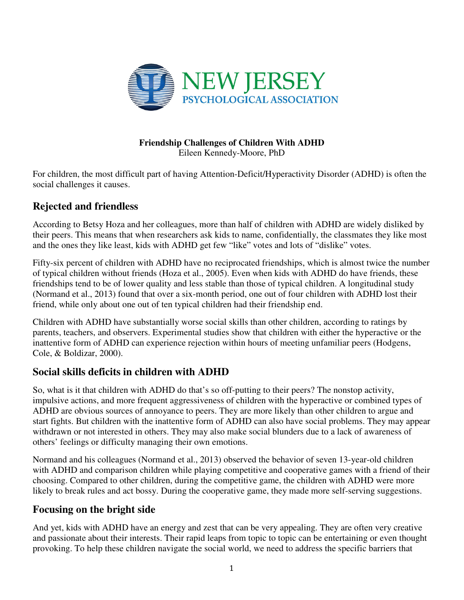

#### **Friendship Challenges of Children With ADHD**  Eileen Kennedy-Moore, PhD

For children, the most difficult part of having Attention-Deficit/Hyperactivity Disorder (ADHD) is often the social challenges it causes.

# **Rejected and friendless**

According to Betsy Hoza and her colleagues, more than half of children with ADHD are widely disliked by their peers. This means that when researchers ask kids to name, confidentially, the classmates they like most and the ones they like least, kids with ADHD get few "like" votes and lots of "dislike" votes.

Fifty-six percent of children with ADHD have no reciprocated friendships, which is almost twice the number of typical children without friends (Hoza et al., 2005). Even when kids with ADHD do have friends, these friendships tend to be of lower quality and less stable than those of typical children. A longitudinal study (Normand et al., 2013) found that over a six-month period, one out of four children with ADHD lost their friend, while only about one out of ten typical children had their friendship end.

Children with ADHD have substantially worse social skills than other children, according to ratings by parents, teachers, and observers. Experimental studies show that children with either the hyperactive or the inattentive form of ADHD can experience rejection within hours of meeting unfamiliar peers (Hodgens, Cole, & Boldizar, 2000).

# **Social skills deficits in children with ADHD**

So, what is it that children with ADHD do that's so off-putting to their peers? The nonstop activity, impulsive actions, and more frequent aggressiveness of children with the hyperactive or combined types of ADHD are obvious sources of annoyance to peers. They are more likely than other children to argue and start fights. But children with the inattentive form of ADHD can also have social problems. They may appear withdrawn or not interested in others. They may also make social blunders due to a lack of awareness of others' feelings or difficulty managing their own emotions.

Normand and his colleagues (Normand et al., 2013) observed the behavior of seven 13-year-old children with ADHD and comparison children while playing competitive and cooperative games with a friend of their choosing. Compared to other children, during the competitive game, the children with ADHD were more likely to break rules and act bossy. During the cooperative game, they made more self-serving suggestions.

### **Focusing on the bright side**

And yet, kids with ADHD have an energy and zest that can be very appealing. They are often very creative and passionate about their interests. Their rapid leaps from topic to topic can be entertaining or even thought provoking. To help these children navigate the social world, we need to address the specific barriers that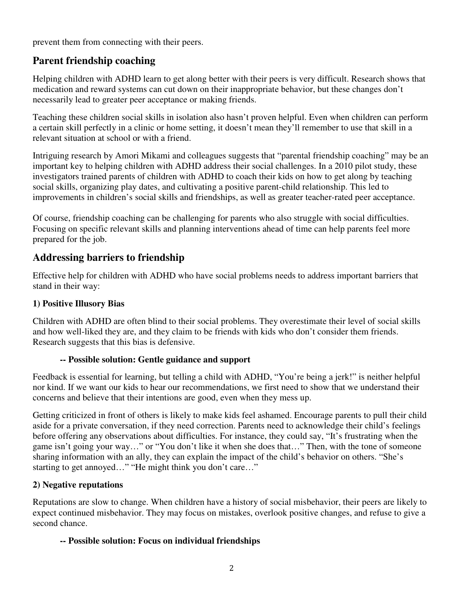prevent them from connecting with their peers.

## **Parent friendship coaching**

Helping children with ADHD learn to get along better with their peers is very difficult. Research shows that medication and reward systems can cut down on their inappropriate behavior, but these changes don't necessarily lead to greater peer acceptance or making friends.

Teaching these children social skills in isolation also hasn't proven helpful. Even when children can perform a certain skill perfectly in a clinic or home setting, it doesn't mean they'll remember to use that skill in a relevant situation at school or with a friend.

Intriguing research by Amori Mikami and colleagues suggests that "parental friendship coaching" may be an important key to helping children with ADHD address their social challenges. In a 2010 pilot study, these investigators trained parents of children with ADHD to coach their kids on how to get along by teaching social skills, organizing play dates, and cultivating a positive parent-child relationship. This led to improvements in children's social skills and friendships, as well as greater teacher-rated peer acceptance.

Of course, friendship coaching can be challenging for parents who also struggle with social difficulties. Focusing on specific relevant skills and planning interventions ahead of time can help parents feel more prepared for the job.

# **Addressing barriers to friendship**

Effective help for children with ADHD who have social problems needs to address important barriers that stand in their way:

### **1) Positive Illusory Bias**

Children with ADHD are often blind to their social problems. They overestimate their level of social skills and how well-liked they are, and they claim to be friends with kids who don't consider them friends. Research suggests that this bias is defensive.

### **-- Possible solution: Gentle guidance and support**

Feedback is essential for learning, but telling a child with ADHD, "You're being a jerk!" is neither helpful nor kind. If we want our kids to hear our recommendations, we first need to show that we understand their concerns and believe that their intentions are good, even when they mess up.

Getting criticized in front of others is likely to make kids feel ashamed. Encourage parents to pull their child aside for a private conversation, if they need correction. Parents need to acknowledge their child's feelings before offering any observations about difficulties. For instance, they could say, "It's frustrating when the game isn't going your way…" or "You don't like it when she does that…" Then, with the tone of someone sharing information with an ally, they can explain the impact of the child's behavior on others. "She's starting to get annoyed…" "He might think you don't care…"

### **2) Negative reputations**

Reputations are slow to change. When children have a history of social misbehavior, their peers are likely to expect continued misbehavior. They may focus on mistakes, overlook positive changes, and refuse to give a second chance.

### **-- Possible solution: Focus on individual friendships**